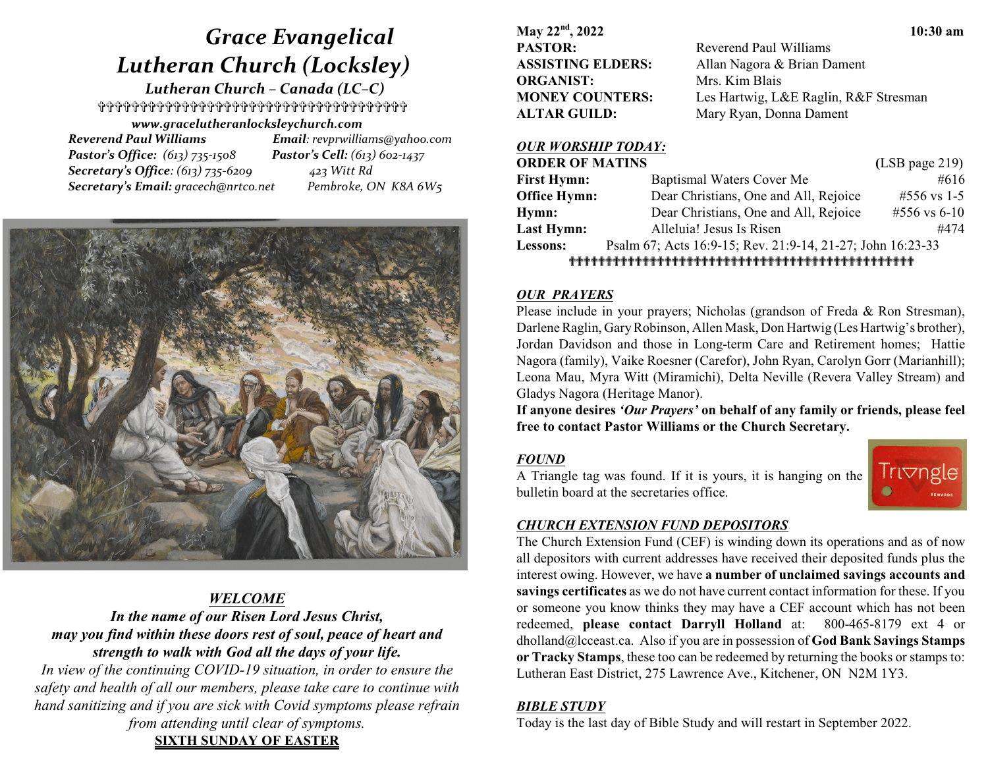# *Grace Evangelical Lutheran Church (Locksley)*

 *Lutheran Church – Canada (LC–C)* \_\_\_\_\_\_\_\_\_\_\_\_\_\_\_\_\_\_\_\_\_\_\_\_\_\_\_\_\_\_\_\_\_\_\_\_\_

*www.gracelutheranlocksleychurch.com Reverend Paul Williams Email: revprwilliams@yahoo.com Pastor's Office: (613) 735-1508 Pastor's Cell: (613) 602-1437 Secretary's Office: (613) 735-6209 423 Witt Rd*

 *Secretary's Email: gracech@nrtco.net Pembroke, ON K8A 6W5*



# *WELCOME In the name of our Risen Lord Jesus Christ, may you find within these doors rest of soul, peace of heart and strength to walk with God all the days of your life.*

*In view of the continuing COVID-19 situation, in order to ensure the safety and health of all our members, please take care to continue with hand sanitizing and if you are sick with Covid symptoms please refrain from attending until clear of symptoms.* **SIXTH SUNDAY OF EASTER**

**May 22nd , 2022 10:30 am PASTOR:** Reverend Paul Williams **ASSISTING ELDERS:** Allan Nagora & Brian Dament **ORGANIST:** Mrs. Kim Blais **ALTAR GUILD:** Mary Ryan, Donna Dament

**MONEY COUNTERS:** Les Hartwig, L&E Raglin, R&F Stresman

#### *OUR WORSHIP TODAY:*

| <b>ORDER OF MATINS</b> |                                                            | $(LSB$ page 219) |  |
|------------------------|------------------------------------------------------------|------------------|--|
| <b>First Hymn:</b>     | Baptismal Waters Cover Me                                  | #616             |  |
| <b>Office Hymn:</b>    | Dear Christians, One and All, Rejoice                      | #556 vs 1-5      |  |
| Hymn:                  | Dear Christians, One and All, Rejoice                      | #556 vs 6-10     |  |
| Last Hymn:             | Alleluia! Jesus Is Risen                                   | #474             |  |
| Lessons:               | Psalm 67; Acts 16:9-15; Rev. 21:9-14, 21-27; John 16:23-33 |                  |  |
|                        |                                                            |                  |  |

#### *OUR PRAYERS*

Please include in your prayers; Nicholas (grandson of Freda & Ron Stresman), Darlene Raglin, Gary Robinson, Allen Mask, Don Hartwig (Les Hartwig's brother), Jordan Davidson and those in Long-term Care and Retirement homes; Hattie Nagora (family), Vaike Roesner (Carefor), John Ryan, Carolyn Gorr (Marianhill); Leona Mau, Myra Witt (Miramichi), Delta Neville (Revera Valley Stream) and Gladys Nagora (Heritage Manor).

**If anyone desires** *'Our Prayers'* **on behalf of any family or friends, please feel free to contact Pastor Williams or the Church Secretary.**

# *FOUND*

A Triangle tag was found. If it is yours, it is hanging on the bulletin board at the secretaries office.



# *CHURCH EXTENSION FUND DEPOSITORS*

The Church Extension Fund (CEF) is winding down its operations and as of now all depositors with current addresses have received their deposited funds plus the interest owing. However, we have **a number of unclaimed savings accounts and savings certificates** as we do not have current contact information for these. If you or someone you know thinks they may have a CEF account which has not been redeemed, **please contact Darryll Holland** at: 800-465-8179 ext 4 or dholland@lcceast.ca. Also if you are in possession of **God Bank Savings Stamps or Tracky Stamps**, these too can be redeemed by returning the books or stamps to: Lutheran East District, 275 Lawrence Ave., Kitchener, ON N2M 1Y3.

# *BIBLE STUDY*

Today is the last day of Bible Study and will restart in September 2022.